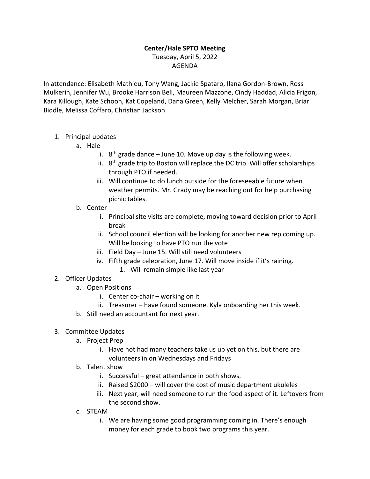## **Center/Hale SPTO Meeting** Tuesday, April 5, 2022 AGENDA

In attendance: Elisabeth Mathieu, Tony Wang, Jackie Spataro, Ilana Gordon-Brown, Ross Mulkerin, Jennifer Wu, Brooke Harrison Bell, Maureen Mazzone, Cindy Haddad, Alicia Frigon, Kara Killough, Kate Schoon, Kat Copeland, Dana Green, Kelly Melcher, Sarah Morgan, Briar Biddle, Melissa Coffaro, Christian Jackson

- 1. Principal updates
	- a. Hale
		- i.  $8<sup>th</sup>$  grade dance June 10. Move up day is the following week.
		- ii.  $8<sup>th</sup>$  grade trip to Boston will replace the DC trip. Will offer scholarships through PTO if needed.
		- iii. Will continue to do lunch outside for the foreseeable future when weather permits. Mr. Grady may be reaching out for help purchasing picnic tables.
	- b. Center
		- i. Principal site visits are complete, moving toward decision prior to April break
		- ii. School council election will be looking for another new rep coming up. Will be looking to have PTO run the vote
		- iii. Field Day June 15. Will still need volunteers
		- iv. Fifth grade celebration, June 17. Will move inside if it's raining.
			- 1. Will remain simple like last year
- 2. Officer Updates
	- a. Open Positions
		- i. Center co-chair working on it
		- ii. Treasurer have found someone. Kyla onboarding her this week.
	- b. Still need an accountant for next year.
- 3. Committee Updates
	- a. Project Prep
		- i. Have not had many teachers take us up yet on this, but there are volunteers in on Wednesdays and Fridays
	- b. Talent show
		- i. Successful great attendance in both shows.
		- ii. Raised \$2000 will cover the cost of music department ukuleles
		- iii. Next year, will need someone to run the food aspect of it. Leftovers from the second show.
	- c. STEAM
		- i. We are having some good programming coming in. There's enough money for each grade to book two programs this year.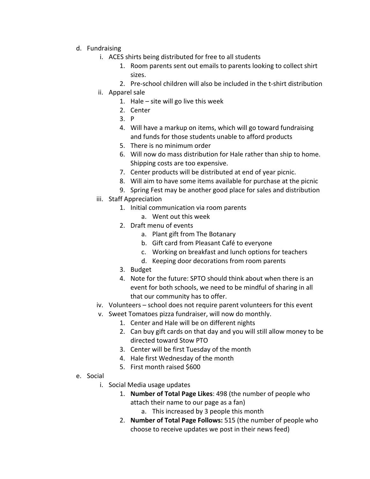- d. Fundraising
	- i. ACES shirts being distributed for free to all students
		- 1. Room parents sent out emails to parents looking to collect shirt sizes.
		- 2. Pre-school children will also be included in the t-shirt distribution
	- ii. Apparel sale
		- 1. Hale site will go live this week
		- 2. Center
		- 3. P
		- 4. Will have a markup on items, which will go toward fundraising and funds for those students unable to afford products
		- 5. There is no minimum order
		- 6. Will now do mass distribution for Hale rather than ship to home. Shipping costs are too expensive.
		- 7. Center products will be distributed at end of year picnic.
		- 8. Will aim to have some items available for purchase at the picnic
		- 9. Spring Fest may be another good place for sales and distribution
	- iii. Staff Appreciation
		- 1. Initial communication via room parents
			- a. Went out this week
		- 2. Draft menu of events
			- a. Plant gift from The Botanary
			- b. Gift card from Pleasant Café to everyone
			- c. Working on breakfast and lunch options for teachers
			- d. Keeping door decorations from room parents
		- 3. Budget
		- 4. Note for the future: SPTO should think about when there is an event for both schools, we need to be mindful of sharing in all that our community has to offer.
	- iv. Volunteers school does not require parent volunteers for this event
	- v. Sweet Tomatoes pizza fundraiser, will now do monthly.
		- 1. Center and Hale will be on different nights
		- 2. Can buy gift cards on that day and you will still allow money to be directed toward Stow PTO
		- 3. Center will be first Tuesday of the month
		- 4. Hale first Wednesday of the month
		- 5. First month raised \$600
- e. Social
	- i. Social Media usage updates
		- 1. **Number of Total Page Likes**: 498 (the number of people who attach their name to our page as a fan)
			- a. This increased by 3 people this month
		- 2. **Number of Total Page Follows:** 515 (the number of people who choose to receive updates we post in their news feed)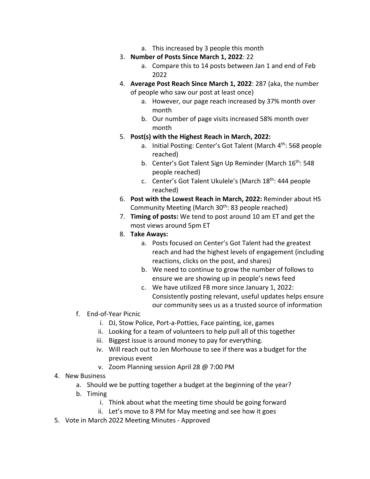- a. This increased by 3 people this month
- 3. **Number of Posts Since March 1, 2022**: 22
	- a. Compare this to 14 posts between Jan 1 and end of Feb 2022
- 4. **Average Post Reach Since March 1, 2022**: 287 (aka, the number of people who saw our post at least once)
	- a. However, our page reach increased by 37% month over month
	- b. Our number of page visits increased 58% month over month
- 5. **Post(s) with the Highest Reach in March, 2022:** 
	- a. Initial Posting: Center's Got Talent (March 4<sup>th</sup>: 568 people reached)
	- b. Center's Got Talent Sign Up Reminder (March 16<sup>th</sup>: 548 people reached)
	- c. Center's Got Talent Ukulele's (March 18th: 444 people reached)
- 6. **Post with the Lowest Reach in March, 2022:** Reminder about HS Community Meeting (March  $30<sup>th</sup>$ : 83 people reached)
- 7. **Timing of posts:** We tend to post around 10 am ET and get the most views around 5pm ET

## 8. **Take Aways:**

- a. Posts focused on Center's Got Talent had the greatest reach and had the highest levels of engagement (including reactions, clicks on the post, and shares)
- b. We need to continue to grow the number of follows to ensure we are showing up in people's news feed
- c. We have utilized FB more since January 1, 2022: Consistently posting relevant, useful updates helps ensure our community sees us as a trusted source of information
- f. End-of-Year Picnic
	- i. DJ, Stow Police, Port-a-Potties, Face painting, ice, games
	- ii. Looking for a team of volunteers to help pull all of this together
	- iii. Biggest issue is around money to pay for everything.
	- iv. Will reach out to Jen Morhouse to see if there was a budget for the previous event
	- v. Zoom Planning session April 28 @ 7:00 PM
- 4. New Business
	- a. Should we be putting together a budget at the beginning of the year?
	- b. Timing
		- i. Think about what the meeting time should be going forward
		- ii. Let's move to 8 PM for May meeting and see how it goes
- 5. Vote in March 2022 Meeting Minutes Approved